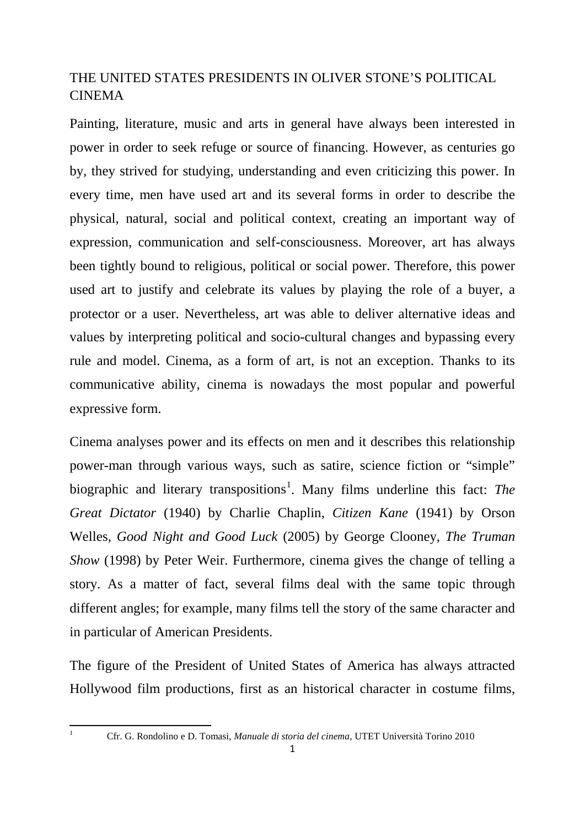## THE UNITED STATES PRESIDENTS IN OLIVER STONE'S POLITICAL CINEMA

Painting, literature, music and arts in general have always been interested in power in order to seek refuge or source of financing. However, as centuries go by, they strived for studying, understanding and even criticizing this power. In every time, men have used art and its several forms in order to describe the physical, natural, social and political context, creating an important way of expression, communication and self-consciousness. Moreover, art has always been tightly bound to religious, political or social power. Therefore, this power used art to justify and celebrate its values by playing the role of a buyer, a protector or a user. Nevertheless, art was able to deliver alternative ideas and values by interpreting political and socio-cultural changes and bypassing every rule and model. Cinema, as a form of art, is not an exception. Thanks to its communicative ability, cinema is nowadays the most popular and powerful expressive form.

Cinema analyses power and its effects on men and it describes this relationship power-man through various ways, such as satire, science fiction or "simple" biographic and literary transpositions<sup>[1](#page-0-0)</sup>. Many films underline this fact: The *Great Dictator* (1940) by Charlie Chaplin, *Citizen Kane* (1941) by Orson Welles, *Good Night and Good Luck* (2005) by George Clooney, *The Truman Show* (1998) by Peter Weir. Furthermore, cinema gives the change of telling a story. As a matter of fact, several films deal with the same topic through different angles; for example, many films tell the story of the same character and in particular of American Presidents.

The figure of the President of United States of America has always attracted Hollywood film productions, first as an historical character in costume films,

<span id="page-0-1"></span><span id="page-0-0"></span>

<sup>1</sup> Cfr. G. Rondolino e D. Tomasi, *Manuale di storia del cinema*, UTET Università Torino 2010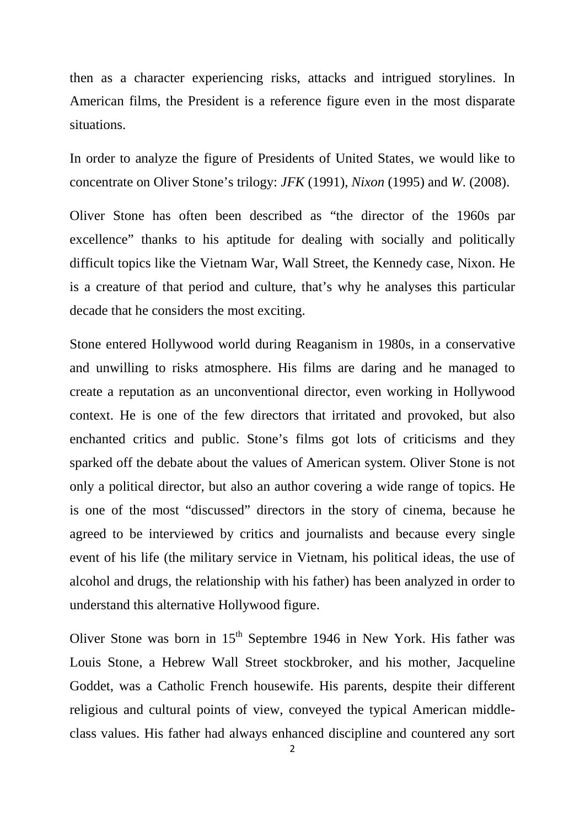then as a character experiencing risks, attacks and intrigued storylines. In American films, the President is a reference figure even in the most disparate situations.

In order to analyze the figure of Presidents of United States, we would like to concentrate on Oliver Stone's trilogy: *JFK* (1991), *Nixon* (1995) and *W*. (2008).

Oliver Stone has often been described as "the director of the 1960s par excellence" thanks to his aptitude for dealing with socially and politically difficult topics like the Vietnam War, Wall Street, the Kennedy case, Nixon. He is a creature of that period and culture, that's why he analyses this particular decade that he considers the most exciting.

Stone entered Hollywood world during Reaganism in 1980s, in a conservative and unwilling to risks atmosphere. His films are daring and he managed to create a reputation as an unconventional director, even working in Hollywood context. He is one of the few directors that irritated and provoked, but also enchanted critics and public. Stone's films got lots of criticisms and they sparked off the debate about the values of American system. Oliver Stone is not only a political director, but also an author covering a wide range of topics. He is one of the most "discussed" directors in the story of cinema, because he agreed to be interviewed by critics and journalists and because every single event of his life (the military service in Vietnam, his political ideas, the use of alcohol and drugs, the relationship with his father) has been analyzed in order to understand this alternative Hollywood figure.

Oliver Stone was born in  $15<sup>th</sup>$  Septembre 1946 in New York. His father was Louis Stone, a Hebrew Wall Street stockbroker, and his mother, Jacqueline Goddet, was a Catholic French housewife. His parents, despite their different religious and cultural points of view, conveyed the typical American middleclass values. His father had always enhanced discipline and countered any sort

2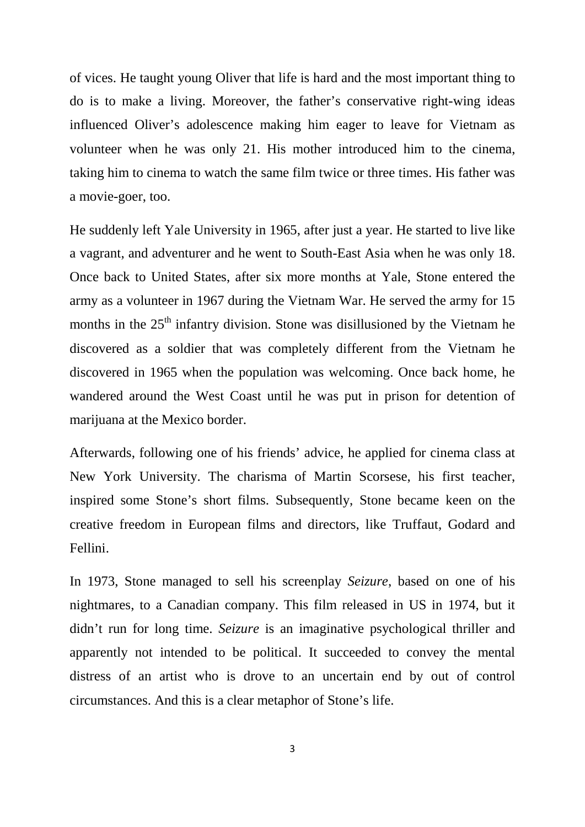of vices. He taught young Oliver that life is hard and the most important thing to do is to make a living. Moreover, the father's conservative right-wing ideas influenced Oliver's adolescence making him eager to leave for Vietnam as volunteer when he was only 21. His mother introduced him to the cinema, taking him to cinema to watch the same film twice or three times. His father was a movie-goer, too.

He suddenly left Yale University in 1965, after just a year. He started to live like a vagrant, and adventurer and he went to South-East Asia when he was only 18. Once back to United States, after six more months at Yale, Stone entered the army as a volunteer in 1967 during the Vietnam War. He served the army for 15 months in the  $25<sup>th</sup>$  infantry division. Stone was disillusioned by the Vietnam he discovered as a soldier that was completely different from the Vietnam he discovered in 1965 when the population was welcoming. Once back home, he wandered around the West Coast until he was put in prison for detention of marijuana at the Mexico border.

Afterwards, following one of his friends' advice, he applied for cinema class at New York University. The charisma of Martin Scorsese, his first teacher, inspired some Stone's short films. Subsequently, Stone became keen on the creative freedom in European films and directors, like Truffaut, Godard and Fellini.

In 1973, Stone managed to sell his screenplay *Seizure*, based on one of his nightmares, to a Canadian company. This film released in US in 1974, but it didn't run for long time. *Seizure* is an imaginative psychological thriller and apparently not intended to be political. It succeeded to convey the mental distress of an artist who is drove to an uncertain end by out of control circumstances. And this is a clear metaphor of Stone's life.

3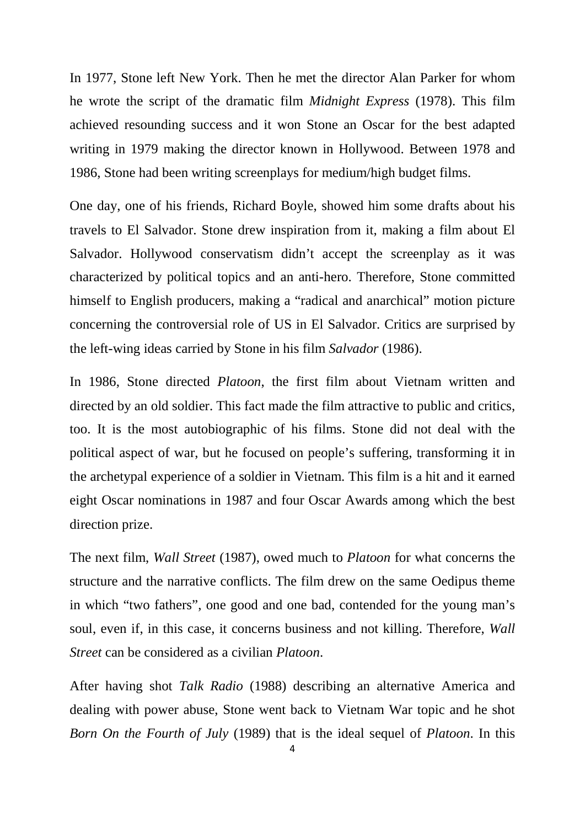In 1977, Stone left New York. Then he met the director Alan Parker for whom he wrote the script of the dramatic film *Midnight Express* (1978). This film achieved resounding success and it won Stone an Oscar for the best adapted writing in 1979 making the director known in Hollywood. Between 1978 and 1986, Stone had been writing screenplays for medium/high budget films.

One day, one of his friends, Richard Boyle, showed him some drafts about his travels to El Salvador. Stone drew inspiration from it, making a film about El Salvador. Hollywood conservatism didn't accept the screenplay as it was characterized by political topics and an anti-hero. Therefore, Stone committed himself to English producers, making a "radical and anarchical" motion picture concerning the controversial role of US in El Salvador. Critics are surprised by the left-wing ideas carried by Stone in his film *Salvador* (1986).

In 1986, Stone directed *Platoon*, the first film about Vietnam written and directed by an old soldier. This fact made the film attractive to public and critics, too. It is the most autobiographic of his films. Stone did not deal with the political aspect of war, but he focused on people's suffering, transforming it in the archetypal experience of a soldier in Vietnam. This film is a hit and it earned eight Oscar nominations in 1987 and four Oscar Awards among which the best direction prize.

The next film, *Wall Street* (1987), owed much to *Platoon* for what concerns the structure and the narrative conflicts. The film drew on the same Oedipus theme in which "two fathers", one good and one bad, contended for the young man's soul, even if, in this case, it concerns business and not killing. Therefore, *Wall Street* can be considered as a civilian *Platoon*.

After having shot *Talk Radio* (1988) describing an alternative America and dealing with power abuse, Stone went back to Vietnam War topic and he shot *Born On the Fourth of July* (1989) that is the ideal sequel of *Platoon*. In this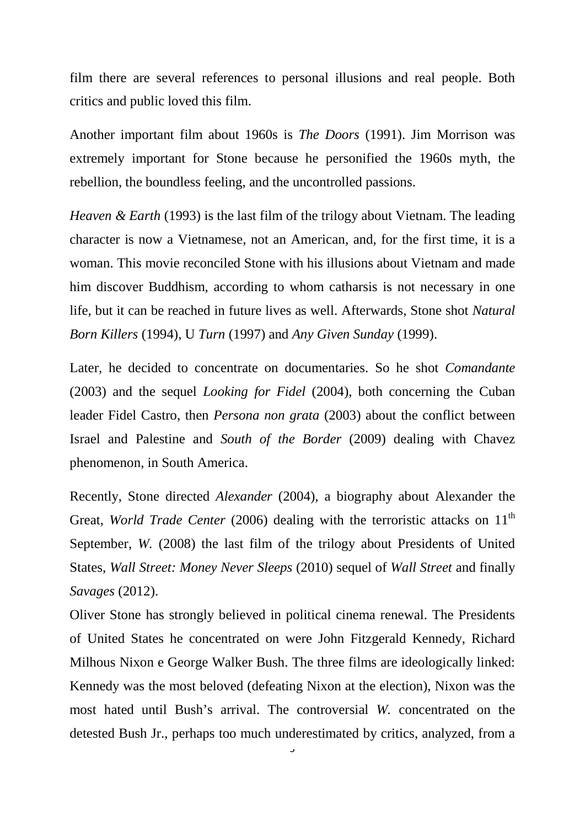film there are several references to personal illusions and real people. Both critics and public loved this film.

Another important film about 1960s is *The Doors* (1991). Jim Morrison was extremely important for Stone because he personified the 1960s myth, the rebellion, the boundless feeling, and the uncontrolled passions.

*Heaven & Earth* (1993) is the last film of the trilogy about Vietnam. The leading character is now a Vietnamese, not an American, and, for the first time, it is a woman. This movie reconciled Stone with his illusions about Vietnam and made him discover Buddhism, according to whom catharsis is not necessary in one life, but it can be reached in future lives as well. Afterwards, Stone shot *Natural Born Killers* (1994), U *Turn* (1997) and *Any Given Sunday* (1999).

Later, he decided to concentrate on documentaries. So he shot *Comandante* (2003) and the sequel *Looking for Fidel* (2004), both concerning the Cuban leader Fidel Castro, then *Persona non grata* (2003) about the conflict between Israel and Palestine and *South of the Border* (2009) dealing with Chavez phenomenon, in South America.

Recently, Stone directed *Alexander* (2004), a biography about Alexander the Great, *World Trade Center* (2006) dealing with the terroristic attacks on 11<sup>th</sup> September, *W.* (2008) the last film of the trilogy about Presidents of United States, *Wall Street: Money Never Sleeps* (2010) sequel of *Wall Street* and finally *Savages* (2012).

Oliver Stone has strongly believed in political cinema renewal. The Presidents of United States he concentrated on were John Fitzgerald Kennedy, Richard Milhous Nixon e George Walker Bush. The three films are ideologically linked: Kennedy was the most beloved (defeating Nixon at the election), Nixon was the most hated until Bush's arrival. The controversial *W.* concentrated on the detested Bush Jr., perhaps too much underestimated by critics, analyzed, from a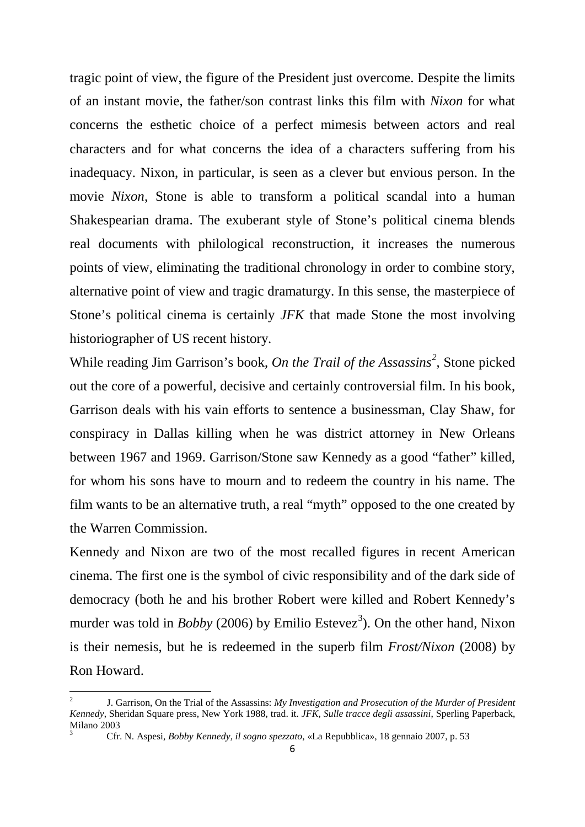tragic point of view, the figure of the President just overcome. Despite the limits of an instant movie, the father/son contrast links this film with *Nixon* for what concerns the esthetic choice of a perfect mimesis between actors and real characters and for what concerns the idea of a characters suffering from his inadequacy. Nixon, in particular, is seen as a clever but envious person. In the movie *Nixon*, Stone is able to transform a political scandal into a human Shakespearian drama. The exuberant style of Stone's political cinema blends real documents with philological reconstruction, it increases the numerous points of view, eliminating the traditional chronology in order to combine story, alternative point of view and tragic dramaturgy. In this sense, the masterpiece of Stone's political cinema is certainly *JFK* that made Stone the most involving historiographer of US recent history.

While reading Jim Garrison's book, *On the Trail of the Assassins[2](#page-0-1)* , Stone picked out the core of a powerful, decisive and certainly controversial film. In his book, Garrison deals with his vain efforts to sentence a businessman, Clay Shaw, for conspiracy in Dallas killing when he was district attorney in New Orleans between 1967 and 1969. Garrison/Stone saw Kennedy as a good "father" killed, for whom his sons have to mourn and to redeem the country in his name. The film wants to be an alternative truth, a real "myth" opposed to the one created by the Warren Commission.

Kennedy and Nixon are two of the most recalled figures in recent American cinema. The first one is the symbol of civic responsibility and of the dark side of democracy (both he and his brother Robert were killed and Robert Kennedy's murder was told in *Bobby* (2006) by Emilio Estevez<sup>[3](#page-5-0)</sup>). On the other hand, Nixon is their nemesis, but he is redeemed in the superb film *Frost/Nixon* (2008) by Ron Howard.

<span id="page-5-1"></span><span id="page-5-0"></span><sup>2</sup> J. Garrison, On the Trial of the Assassins: *My Investigation and Prosecution of the Murder of President Kennedy*, Sheridan Square press, New York 1988, trad. it. *JFK, Sulle tracce degli assassini*, Sperling Paperback, Milano 2003

<sup>3</sup> Cfr. N. Aspesi, *Bobby Kennedy, il sogno spezzato*, «La Repubblica», 18 gennaio 2007, p. 53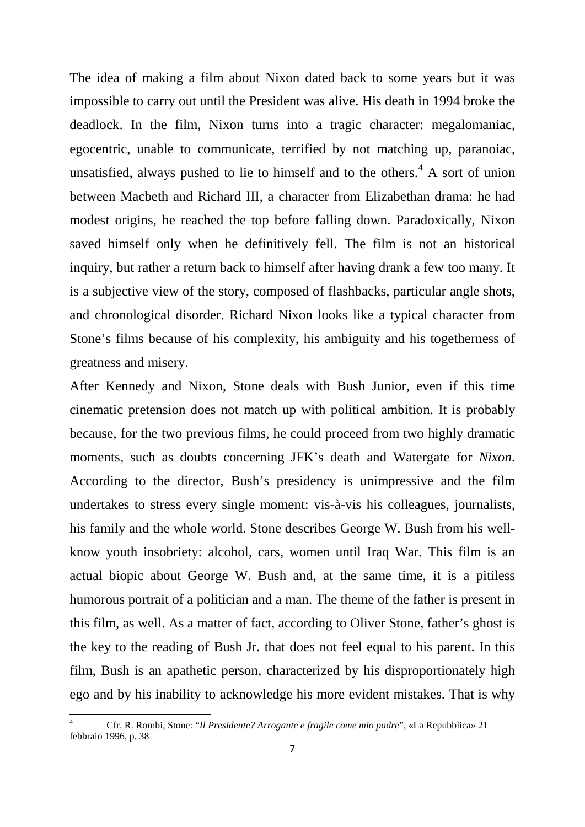The idea of making a film about Nixon dated back to some years but it was impossible to carry out until the President was alive. His death in 1994 broke the deadlock. In the film, Nixon turns into a tragic character: megalomaniac, egocentric, unable to communicate, terrified by not matching up, paranoiac, unsatisfied, always pushed to lie to himself and to the others.<sup>[4](#page-5-1)</sup> A sort of union between Macbeth and Richard III, a character from Elizabethan drama: he had modest origins, he reached the top before falling down. Paradoxically, Nixon saved himself only when he definitively fell. The film is not an historical inquiry, but rather a return back to himself after having drank a few too many. It is a subjective view of the story, composed of flashbacks, particular angle shots, and chronological disorder. Richard Nixon looks like a typical character from Stone's films because of his complexity, his ambiguity and his togetherness of greatness and misery.

After Kennedy and Nixon, Stone deals with Bush Junior, even if this time cinematic pretension does not match up with political ambition. It is probably because, for the two previous films, he could proceed from two highly dramatic moments, such as doubts concerning JFK's death and Watergate for *Nixon*. According to the director, Bush's presidency is unimpressive and the film undertakes to stress every single moment: vis-à-vis his colleagues, journalists, his family and the whole world. Stone describes George W. Bush from his wellknow youth insobriety: alcohol, cars, women until Iraq War. This film is an actual biopic about George W. Bush and, at the same time, it is a pitiless humorous portrait of a politician and a man. The theme of the father is present in this film, as well. As a matter of fact, according to Oliver Stone, father's ghost is the key to the reading of Bush Jr. that does not feel equal to his parent. In this film, Bush is an apathetic person, characterized by his disproportionately high ego and by his inability to acknowledge his more evident mistakes. That is why

<sup>4</sup> Cfr. R. Rombi, Stone: "*Il Presidente? Arrogante e fragile come mio padre*", «La Repubblica» 21 febbraio 1996, p. 38